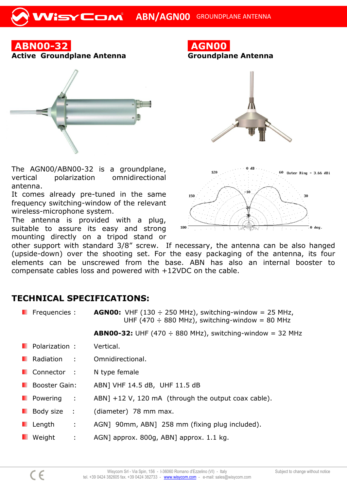

The AGN00/ABN00-32 is a groundplane, vertical polarization omnidirectional antenna.

It comes already pre-tuned in the same frequency switching-window of the relevant wireless-microphone system.

The antenna is provided with a plug, suitable to assure its easy and strong mounting directly on a tripod stand or



**AGN00**

180

other support with standard 3/8" screw. If necessary, the antenna can be also hanged (upside-down) over the shooting set. For the easy packaging of the antenna, its four elements can be unscrewed from the base. ABN has also an internal booster to compensate cables loss and powered with +12VDC on the cable.

## **TECHNICAL SPECIFICATIONS:**

| <b>Figure</b> Frequencies : | <b>AGNO0:</b> VHF (130 $\div$ 250 MHz), switching-window = 25 MHz,<br>UHF (470 $\div$ 880 MHz), switching-window = 80 MHz |
|-----------------------------|---------------------------------------------------------------------------------------------------------------------------|
|                             | <b>ABN00-32:</b> UHF (470 $\div$ 880 MHz), switching-window = 32 MHz                                                      |
| <b>Polarization:</b>        | Vertical.                                                                                                                 |
| <b>Radiation:</b>           | Omnidirectional.                                                                                                          |
| <b>Connector</b> :          | N type female                                                                                                             |
| <b>Booster Gain:</b>        | ABN] VHF 14.5 dB, UHF 11.5 dB                                                                                             |
| Powering<br>$\mathcal{L}$   | ABN] $+12$ V, 120 mA (through the output coax cable).                                                                     |
| Body size :                 | (diameter) 78 mm max.                                                                                                     |
| Length<br>÷                 | AGN] 90mm, ABN] 258 mm (fixing plug included).                                                                            |
| Weight<br>÷                 | AGN] approx. 800g, ABN] approx. 1.1 kg.                                                                                   |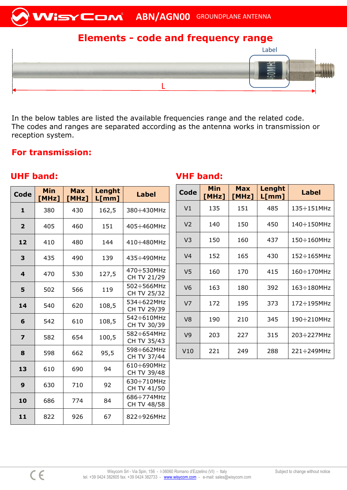

# **Elements - code and frequency range**



In the below tables are listed the available frequencies range and the related code. The codes and ranges are separated according as the antenna works in transmission or reception system.

## **For transmission:**

### **UHF band: VHF band:**

| <b>Code</b>             | <b>Min</b><br>[MHz] | <b>Max</b><br>[MHz] | Lenght<br>L[mm] | <b>Label</b>                      |
|-------------------------|---------------------|---------------------|-----------------|-----------------------------------|
| $\mathbf{1}$            | 380                 | 430                 | 162,5           | $380 - 430$ MHz                   |
| $\mathbf{2}$            | 405                 | 460                 | 151             | 405÷460MHz                        |
| 12                      | 410                 | 480                 | 144             | 410÷480MHz                        |
| 3                       | 435                 | 490                 | 139             | 435÷490MHz                        |
| $\boldsymbol{4}$        | 470                 | 530                 | 127,5           | 470÷530MHz<br>CH TV 21/29         |
| 5                       | 502                 | 566                 | 119             | 502÷566MHz<br>CH TV 25/32         |
| 14                      | 540                 | 620                 | 108,5           | 534÷622MHz<br>CH TV 29/39         |
| 6                       | 542                 | 610                 | 108,5           | 542÷610MHz<br>CH TV 30/39         |
| $\overline{\mathbf{z}}$ | 582                 | 654                 | 100,5           | 582÷654MHz<br>CH TV 35/43         |
| 8                       | 598                 | 662                 | 95,5            | 598÷662MHz<br>CH TV 37/44         |
| 13                      | 610                 | 690                 | 94              | 610÷690MHz<br>CH TV 39/48         |
| 9                       | 630                 | 710                 | 92              | $630 \div 710$ MHz<br>CH TV 41/50 |
| 10                      | 686                 | 774                 | 84              | 686÷774MHz<br>CH TV 48/58         |
| 11                      | 822                 | 926                 | 67              | 822÷926MHz                        |

| Code           | <b>Min</b><br>[MHz] | <b>Max</b><br>[MHz] | Lenght<br>L[mm] | <b>Label</b>       |
|----------------|---------------------|---------------------|-----------------|--------------------|
| V <sub>1</sub> | 135                 | 151                 | 485             | 135÷151MHz         |
| V <sub>2</sub> | 140                 | 150                 | 450             | $140 \div 150$ MHz |
| V3             | 150                 | 160                 | 437             | $150 \div 160$ MHz |
| V <sub>4</sub> | 152                 | 165                 | 430             | 152÷165MHz         |
| V5             | 160                 | 170                 | 415             | 160÷170MHz         |
| V <sub>6</sub> | 163                 | 180                 | 392             | 163÷180MHz         |
| V <sub>7</sub> | 172                 | 195                 | 373             | 172÷195MHz         |
| V8             | 190                 | 210                 | 345             | 190÷210MHz         |
| V <sub>9</sub> | 203                 | 227                 | 315             | 203÷227MHz         |
| V10            | 221                 | 249                 | 288             | $221 \div 249$ MHz |